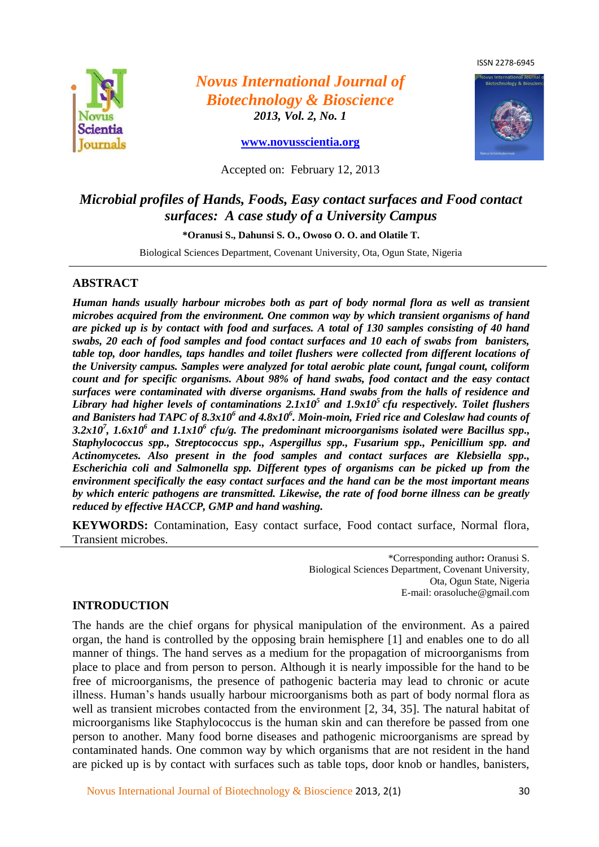ISSN 2278-6945



*Novus International Journal of Biotechnology & Bioscience 2013, Vol. 2, No. 1*

**[www.novusscientia.org](http://www.novusscientia.org/)**



Accepted on: February 12, 2013

# *Microbial profiles of Hands, Foods, Easy contact surfaces and Food contact surfaces: A case study of a University Campus*

**\*Oranusi S., Dahunsi S. O., Owoso O. O. and Olatile T.**

Biological Sciences Department, Covenant University, Ota, Ogun State, Nigeria

#### **ABSTRACT**

*Human hands usually harbour microbes both as part of body normal flora as well as transient microbes acquired from the environment. One common way by which transient organisms of hand are picked up is by contact with food and surfaces. A total of 130 samples consisting of 40 hand swabs, 20 each of food samples and food contact surfaces and 10 each of swabs from banisters, table top, door handles, taps handles and toilet flushers were collected from different locations of the University campus. Samples were analyzed for total aerobic plate count, fungal count, coliform count and for specific organisms. About 98% of hand swabs, food contact and the easy contact surfaces were contaminated with diverse organisms. Hand swabs from the halls of residence and Library had higher levels of contaminations 2.1x10<sup>5</sup> and 1.9x10<sup>5</sup>cfu respectively. Toilet flushers*  and Banisters had TAPC of 8.3x10<sup>6</sup> and 4.8x10<sup>6</sup>. Moin-moin, Fried rice and Coleslaw had counts of *3.2x10<sup>7</sup> , 1.6x10<sup>6</sup> and 1.1x10<sup>6</sup> cfu/g. The predominant microorganisms isolated were Bacillus spp., Staphylococcus spp., Streptococcus spp., Aspergillus spp., Fusarium spp., Penicillium spp. and Actinomycetes. Also present in the food samples and contact surfaces are Klebsiella spp., Escherichia coli and Salmonella spp. Different types of organisms can be picked up from the environment specifically the easy contact surfaces and the hand can be the most important means by which enteric pathogens are transmitted. Likewise, the rate of food borne illness can be greatly reduced by effective HACCP, GMP and hand washing.* 

**KEYWORDS:** Contamination, Easy contact surface, Food contact surface, Normal flora, Transient microbes.

> \*Corresponding author**:** Oranusi S. Biological Sciences Department, Covenant University, Ota, Ogun State, Nigeria E-mail: orasoluche@gmail.com

# **INTRODUCTION**

The hands are the chief organs for physical manipulation of the environment. As a paired organ, the hand is controlled by the opposing brain hemisphere [1] and enables one to do all manner of things. The hand serves as a medium for the propagation of microorganisms from place to place and from person to person. Although it is nearly impossible for the hand to be free of microorganisms, the presence of pathogenic bacteria may lead to chronic or acute illness. Human's hands usually harbour microorganisms both as part of body normal flora as well as transient microbes contacted from the environment [2, 34, 35]. The natural habitat of microorganisms like Staphylococcus is the human skin and can therefore be passed from one person to another. Many food borne diseases and pathogenic microorganisms are spread by contaminated hands. One common way by which organisms that are not resident in the hand are picked up is by contact with surfaces such as table tops, door knob or handles, banisters,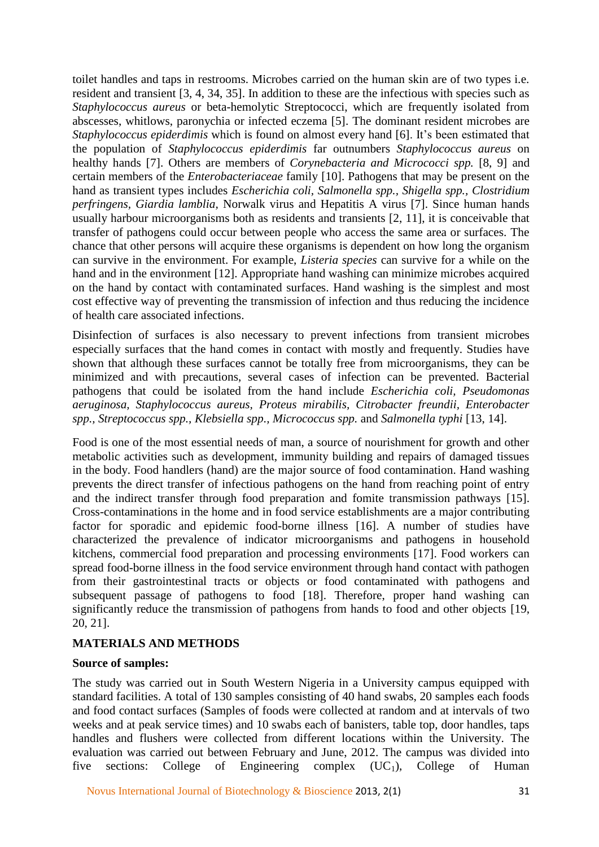toilet handles and taps in restrooms. Microbes carried on the human skin are of two types i.e. resident and transient [3, 4, 34, 35]. In addition to these are the infectious with species such as *Staphylococcus aureus* or beta-hemolytic Streptococci, which are frequently isolated from abscesses, whitlows, paronychia or infected eczema [5]. The dominant resident microbes are *Staphylococcus epiderdimis* which is found on almost every hand [6]. It's been estimated that the population of *Staphylococcus epiderdimis* far outnumbers *Staphylococcus aureus* on healthy hands [7]. Others are members of *Corynebacteria and Micrococci spp.* [8, 9] and certain members of the *Enterobacteriaceae* family [10]. Pathogens that may be present on the hand as transient types includes *Escherichia coli, Salmonella spp., Shigella spp., Clostridium perfringens, Giardia lamblia,* Norwalk virus and Hepatitis A virus [7]. Since human hands usually harbour microorganisms both as residents and transients [2, 11], it is conceivable that transfer of pathogens could occur between people who access the same area or surfaces. The chance that other persons will acquire these organisms is dependent on how long the organism can survive in the environment. For example, *Listeria species* can survive for a while on the hand and in the environment [12]. Appropriate hand washing can minimize microbes acquired on the hand by contact with contaminated surfaces. Hand washing is the simplest and most cost effective way of preventing the transmission of infection and thus reducing the incidence of health care associated infections.

Disinfection of surfaces is also necessary to prevent infections from transient microbes especially surfaces that the hand comes in contact with mostly and frequently. Studies have shown that although these surfaces cannot be totally free from microorganisms, they can be minimized and with precautions, several cases of infection can be prevented. Bacterial pathogens that could be isolated from the hand include *Escherichia coli, Pseudomonas aeruginosa, Staphylococcus aureus, Proteus mirabilis, Citrobacter freundii, Enterobacter spp., Streptococcus spp., Klebsiella spp., Micrococcus spp.* and *Salmonella typhi* [13, 14].

Food is one of the most essential needs of man, a source of nourishment for growth and other metabolic activities such as development, immunity building and repairs of damaged tissues in the body. Food handlers (hand) are the major source of food contamination. Hand washing prevents the direct transfer of infectious pathogens on the hand from reaching point of entry and the indirect transfer through food preparation and fomite transmission pathways [15]. Cross-contaminations in the home and in food service establishments are a major contributing factor for sporadic and epidemic food-borne illness [16]. A number of studies have characterized the prevalence of indicator microorganisms and pathogens in household kitchens, commercial food preparation and processing environments [17]. Food workers can spread food-borne illness in the food service environment through hand contact with pathogen from their gastrointestinal tracts or objects or food contaminated with pathogens and subsequent passage of pathogens to food [18]. Therefore, proper hand washing can significantly reduce the transmission of pathogens from hands to food and other objects [19, 20, 21].

# **MATERIALS AND METHODS**

#### **Source of samples:**

The study was carried out in South Western Nigeria in a University campus equipped with standard facilities. A total of 130 samples consisting of 40 hand swabs, 20 samples each foods and food contact surfaces (Samples of foods were collected at random and at intervals of two weeks and at peak service times) and 10 swabs each of banisters, table top, door handles, taps handles and flushers were collected from different locations within the University. The evaluation was carried out between February and June, 2012. The campus was divided into five sections: College of Engineering complex  $(UC_1)$ , College of Human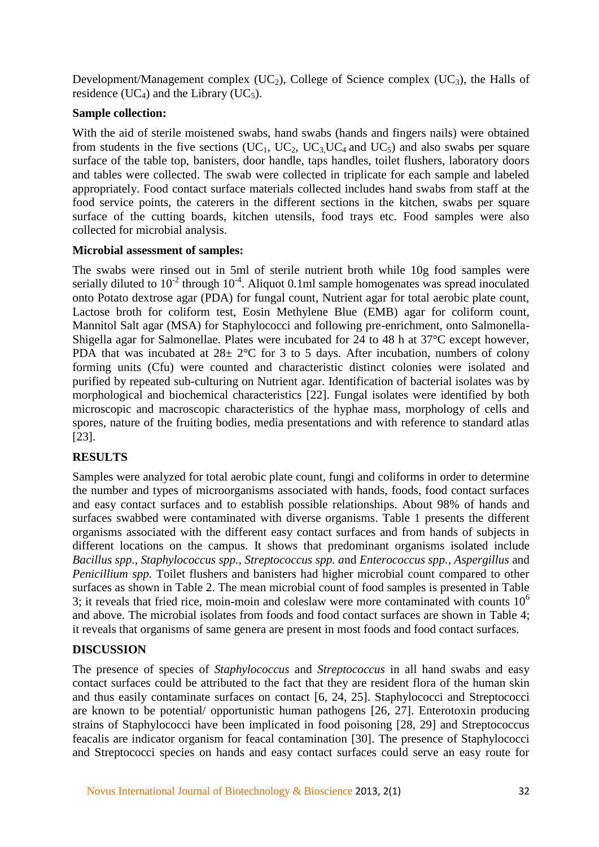Development/Management complex  $(UC_2)$ , College of Science complex  $(UC_3)$ , the Halls of residence (UC<sub>4</sub>) and the Library (UC<sub>5</sub>).

### **Sample collection:**

With the aid of sterile moistened swabs, hand swabs (hands and fingers nails) were obtained from students in the five sections (UC<sub>1</sub>, UC<sub>2</sub>, UC<sub>3</sub>, UC<sub>4</sub> and UC<sub>5</sub>) and also swabs per square surface of the table top, banisters, door handle, taps handles, toilet flushers, laboratory doors and tables were collected. The swab were collected in triplicate for each sample and labeled appropriately. Food contact surface materials collected includes hand swabs from staff at the food service points, the caterers in the different sections in the kitchen, swabs per square surface of the cutting boards, kitchen utensils, food trays etc. Food samples were also collected for microbial analysis.

#### **Microbial assessment of samples:**

The swabs were rinsed out in 5ml of sterile nutrient broth while 10g food samples were serially diluted to  $10^{-2}$  through  $10^{-4}$ . Aliquot 0.1ml sample homogenates was spread inoculated onto Potato dextrose agar (PDA) for fungal count, Nutrient agar for total aerobic plate count, Lactose broth for coliform test, Eosin Methylene Blue (EMB) agar for coliform count, Mannitol Salt agar (MSA) for Staphylococci and following pre-enrichment, onto Salmonella-Shigella agar for Salmonellae. Plates were incubated for 24 to 48 h at 37°C except however, PDA that was incubated at  $28\pm 2^{\circ}$ C for 3 to 5 days. After incubation, numbers of colony forming units (Cfu) were counted and characteristic distinct colonies were isolated and purified by repeated sub-culturing on Nutrient agar. Identification of bacterial isolates was by morphological and biochemical characteristics [22]. Fungal isolates were identified by both microscopic and macroscopic characteristics of the hyphae mass, morphology of cells and spores, nature of the fruiting bodies, media presentations and with reference to standard atlas [23].

# **RESULTS**

Samples were analyzed for total aerobic plate count, fungi and coliforms in order to determine the number and types of microorganisms associated with hands, foods, food contact surfaces and easy contact surfaces and to establish possible relationships. About 98% of hands and surfaces swabbed were contaminated with diverse organisms. Table 1 presents the different organisms associated with the different easy contact surfaces and from hands of subjects in different locations on the campus. It shows that predominant organisms isolated include *Bacillus spp., Staphylococcus spp., Streptococcus spp. a*nd *Enterococcus spp., Aspergillus* and *Penicillium spp.* Toilet flushers and banisters had higher microbial count compared to other surfaces as shown in Table 2. The mean microbial count of food samples is presented in Table 3; it reveals that fried rice, moin-moin and coleslaw were more contaminated with counts  $10<sup>6</sup>$ and above. The microbial isolates from foods and food contact surfaces are shown in Table 4; it reveals that organisms of same genera are present in most foods and food contact surfaces.

# **DISCUSSION**

The presence of species of *Staphylococcus* and *Streptococcus* in all hand swabs and easy contact surfaces could be attributed to the fact that they are resident flora of the human skin and thus easily contaminate surfaces on contact [6, 24, 25]. Staphylococci and Streptococci are known to be potential/ opportunistic human pathogens [26, 27]. Enterotoxin producing strains of Staphylococci have been implicated in food poisoning [28, 29] and Streptococcus feacalis are indicator organism for feacal contamination [30]. The presence of Staphylococci and Streptococci species on hands and easy contact surfaces could serve an easy route for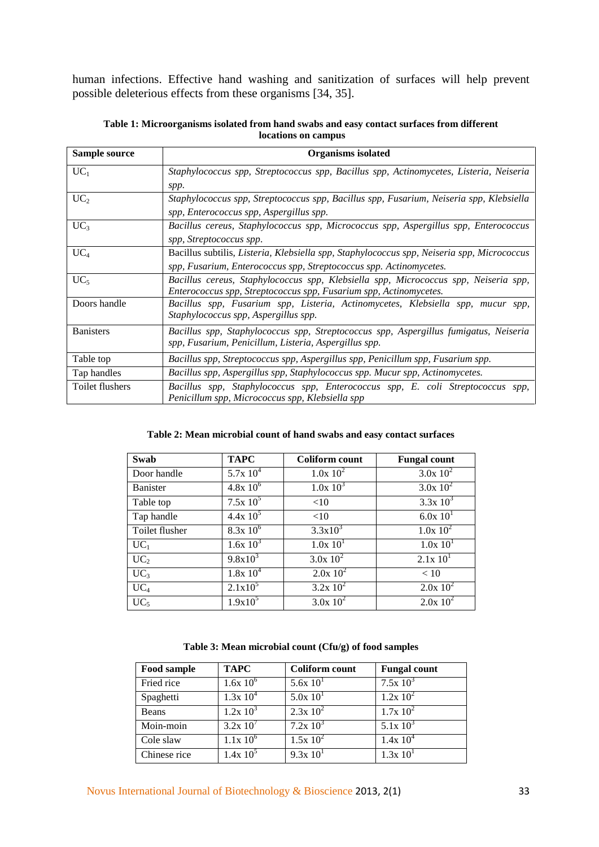human infections. Effective hand washing and sanitization of surfaces will help prevent possible deleterious effects from these organisms [34, 35].

| Sample source    | Organisms isolated                                                                         |  |  |
|------------------|--------------------------------------------------------------------------------------------|--|--|
| $UC_1$           | Staphylococcus spp, Streptococcus spp, Bacillus spp, Actinomycetes, Listeria, Neiseria     |  |  |
|                  | spp.                                                                                       |  |  |
| UC <sub>2</sub>  | Staphylococcus spp, Streptococcus spp, Bacillus spp, Fusarium, Neiseria spp, Klebsiella    |  |  |
|                  | spp, Enterococcus spp, Aspergillus spp.                                                    |  |  |
| $UC_3$           | Bacillus cereus, Staphylococcus spp, Micrococcus spp, Aspergillus spp, Enterococcus        |  |  |
|                  | spp, Streptococcus spp.                                                                    |  |  |
| $UC_4$           | Bacillus subtilis, Listeria, Klebsiella spp, Staphylococcus spp, Neiseria spp, Micrococcus |  |  |
|                  | spp, Fusarium, Enterococcus spp, Streptococcus spp. Actinomycetes.                         |  |  |
| UC <sub>5</sub>  | Bacillus cereus, Staphylococcus spp, Klebsiella spp, Micrococcus spp, Neiseria spp,        |  |  |
|                  | Enterococcus spp, Streptococcus spp, Fusarium spp, Actinomycetes.                          |  |  |
| Doors handle     | Bacillus spp, Fusarium spp, Listeria, Actinomycetes, Klebsiella spp, mucur spp,            |  |  |
|                  | Staphylococcus spp, Aspergillus spp.                                                       |  |  |
| <b>Banisters</b> | Bacillus spp, Staphylococcus spp, Streptococcus spp, Aspergillus fumigatus, Neiseria       |  |  |
|                  | spp, Fusarium, Penicillum, Listeria, Aspergillus spp.                                      |  |  |
| Table top        | Bacillus spp, Streptococcus spp, Aspergillus spp, Penicillum spp, Fusarium spp.            |  |  |
| Tap handles      | Bacillus spp, Aspergillus spp, Staphylococcus spp. Mucur spp, Actinomycetes.               |  |  |
| Toilet flushers  | Bacillus spp, Staphylococcus spp, Enterococcus spp, E. coli Streptococcus spp,             |  |  |
|                  | Penicillum spp, Micrococcus spp, Klebsiella spp                                            |  |  |

**Table 1: Microorganisms isolated from hand swabs and easy contact surfaces from different locations on campus**

#### **Table 2: Mean microbial count of hand swabs and easy contact surfaces**

| Swab            | <b>TAPC</b>           | <b>Coliform count</b> | <b>Fungal count</b>  |
|-----------------|-----------------------|-----------------------|----------------------|
| Door handle     | $5.7x 10^4$           | $1.0x\;10^2$          | $3.0x\ 10^2$         |
| Banister        | $4.8x\,10^{6}$        | $1.0x\;10^3$          | $3.0x\ 10^2$         |
| Table top       | $7.5x 10^5$           | <10                   | $3.3x 10^3$          |
| Tap handle      | $4.4x\,10^5$          | <10                   | 6.0x 10 <sup>1</sup> |
| Toilet flusher  | $8.\overline{3x}10^6$ | $3.3x10^3$            | $1.0x\ 10^2$         |
| $UC_1$          | $1.6x\ 10^3$          | 1.0x 10 <sup>1</sup>  | 1.0x 10 <sup>1</sup> |
| UC <sub>2</sub> | $9.8x10^{3}$          | $3.0x\sqrt{10^2}$     | 2.1x 10 <sup>1</sup> |
| $UC_3$          | $1.8x 10^4$           | $2.0x\;10^2$          | < 10                 |
| $UC_4$          | $2.1x10^5$            | $3.2x 10^2$           | $2.0x 10^2$          |
| $UC_5$          | $1.9x10^5$            | $3.0x\ 10^2$          | $2.0x\;10^2$         |

| Food sample  | <b>TAPC</b>  | Coliform count       | <b>Fungal count</b>  |
|--------------|--------------|----------------------|----------------------|
| Fried rice   | $1.6x\ 10^6$ | 5.6x10 <sup>1</sup>  | $7.5x 10^3$          |
| Spaghetti    | $1.3x 10^4$  | 5.0x 10 <sup>1</sup> | $1.2x\ 10^2$         |
| <b>Beans</b> | $1.2x\ 10^3$ | $2.3x 10^2$          | $1.7x\ 10^2$         |
| Moin-moin    | $3.2x\ 10^7$ | $7.2x\ 10^3$         | $5.1x\ 10^3$         |
| Cole slaw    | $1.1x\ 10^6$ | $1.5x 10^2$          | $1.4x 10^4$          |
| Chinese rice | $1.4x\,10^5$ | 9.3x 10 <sup>1</sup> | 1.3x 10 <sup>1</sup> |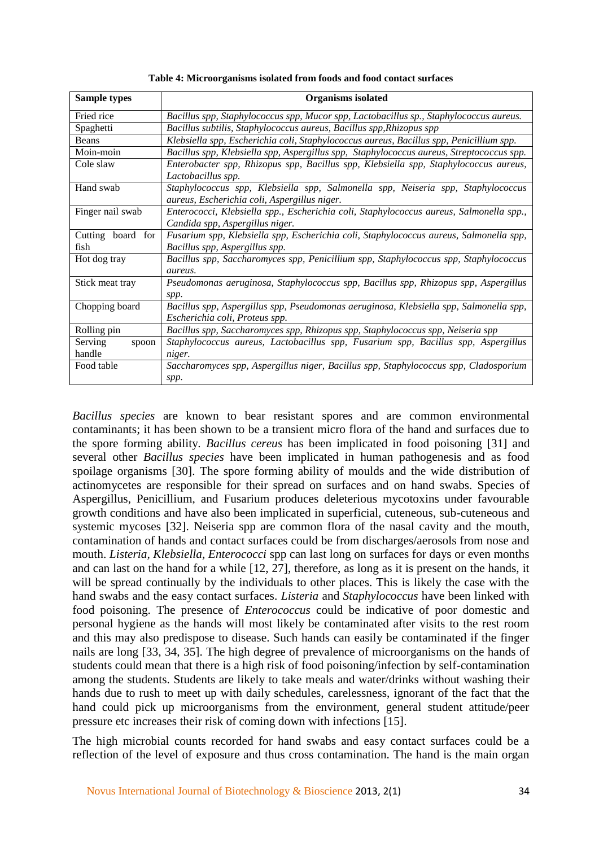| <b>Sample types</b>        | <b>Organisms</b> isolated                                                                                                        |  |  |
|----------------------------|----------------------------------------------------------------------------------------------------------------------------------|--|--|
| Fried rice                 | Bacillus spp, Staphylococcus spp, Mucor spp, Lactobacillus sp., Staphylococcus aureus.                                           |  |  |
| Spaghetti                  | Bacillus subtilis, Staphylococcus aureus, Bacillus spp, Rhizopus spp                                                             |  |  |
| <b>Beans</b>               | Klebsiella spp, Escherichia coli, Staphylococcus aureus, Bacillus spp, Penicillium spp.                                          |  |  |
| Moin-moin                  | Bacillus spp, Klebsiella spp, Aspergillus spp, Staphylococcus aureus, Streptococcus spp.                                         |  |  |
| Cole slaw                  | Enterobacter spp, Rhizopus spp, Bacillus spp, Klebsiella spp, Staphylococcus aureus,<br>Lactobacillus spp.                       |  |  |
| Hand swab                  | Staphylococcus spp, Klebsiella spp, Salmonella spp, Neiseria spp, Staphylococcus<br>aureus, Escherichia coli, Aspergillus niger. |  |  |
| Finger nail swab           | Enterococci, Klebsiella spp., Escherichia coli, Staphylococcus aureus, Salmonella spp.,<br>Candida spp, Aspergillus niger.       |  |  |
| Cutting board for<br>fish  | Fusarium spp, Klebsiella spp, Escherichia coli, Staphylococcus aureus, Salmonella spp,<br>Bacillus spp, Aspergillus spp.         |  |  |
| Hot dog tray               | Bacillus spp, Saccharomyces spp, Penicillium spp, Staphylococcus spp, Staphylococcus<br>aureus.                                  |  |  |
| Stick meat tray            | Pseudomonas aeruginosa, Staphylococcus spp, Bacillus spp, Rhizopus spp, Aspergillus<br>spp.                                      |  |  |
| Chopping board             | Bacillus spp, Aspergillus spp, Pseudomonas aeruginosa, Klebsiella spp, Salmonella spp,<br>Escherichia coli, Proteus spp.         |  |  |
| Rolling pin                | Bacillus spp, Saccharomyces spp, Rhizopus spp, Staphylococcus spp, Neiseria spp                                                  |  |  |
| Serving<br>spoon<br>handle | Staphylococcus aureus, Lactobacillus spp, Fusarium spp, Bacillus spp, Aspergillus<br>niger.                                      |  |  |
| Food table                 | Saccharomyces spp, Aspergillus niger, Bacillus spp, Staphylococcus spp, Cladosporium<br>spp.                                     |  |  |

**Table 4: Microorganisms isolated from foods and food contact surfaces**

*Bacillus species* are known to bear resistant spores and are common environmental contaminants; it has been shown to be a transient micro flora of the hand and surfaces due to the spore forming ability*. Bacillus cereus* has been implicated in food poisoning [31] and several other *Bacillus species* have been implicated in human pathogenesis and as food spoilage organisms [30]. The spore forming ability of moulds and the wide distribution of actinomycetes are responsible for their spread on surfaces and on hand swabs. Species of Aspergillus, Penicillium, and Fusarium produces deleterious mycotoxins under favourable growth conditions and have also been implicated in superficial, cuteneous, sub-cuteneous and systemic mycoses [32]. Neiseria spp are common flora of the nasal cavity and the mouth, contamination of hands and contact surfaces could be from discharges/aerosols from nose and mouth. *Listeria, Klebsiella, Enterococci* spp can last long on surfaces for days or even months and can last on the hand for a while [12, 27], therefore, as long as it is present on the hands, it will be spread continually by the individuals to other places. This is likely the case with the hand swabs and the easy contact surfaces. *Listeria* and *Staphylococcus* have been linked with food poisoning. The presence of *Enterococcus* could be indicative of poor domestic and personal hygiene as the hands will most likely be contaminated after visits to the rest room and this may also predispose to disease. Such hands can easily be contaminated if the finger nails are long [33, 34, 35]. The high degree of prevalence of microorganisms on the hands of students could mean that there is a high risk of food poisoning/infection by self-contamination among the students. Students are likely to take meals and water/drinks without washing their hands due to rush to meet up with daily schedules, carelessness, ignorant of the fact that the hand could pick up microorganisms from the environment, general student attitude/peer pressure etc increases their risk of coming down with infections [15].

The high microbial counts recorded for hand swabs and easy contact surfaces could be a reflection of the level of exposure and thus cross contamination. The hand is the main organ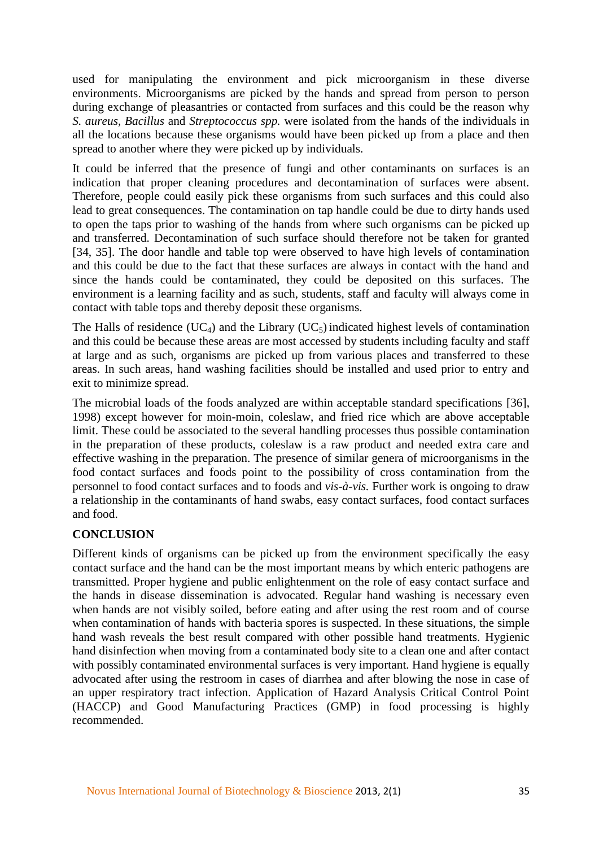used for manipulating the environment and pick microorganism in these diverse environments. Microorganisms are picked by the hands and spread from person to person during exchange of pleasantries or contacted from surfaces and this could be the reason why *S. aureus, Bacillus* and *Streptococcus spp.* were isolated from the hands of the individuals in all the locations because these organisms would have been picked up from a place and then spread to another where they were picked up by individuals.

It could be inferred that the presence of fungi and other contaminants on surfaces is an indication that proper cleaning procedures and decontamination of surfaces were absent. Therefore, people could easily pick these organisms from such surfaces and this could also lead to great consequences. The contamination on tap handle could be due to dirty hands used to open the taps prior to washing of the hands from where such organisms can be picked up and transferred. Decontamination of such surface should therefore not be taken for granted [34, 35]. The door handle and table top were observed to have high levels of contamination and this could be due to the fact that these surfaces are always in contact with the hand and since the hands could be contaminated, they could be deposited on this surfaces. The environment is a learning facility and as such, students, staff and faculty will always come in contact with table tops and thereby deposit these organisms.

The Halls of residence  $(UC_4)$  and the Library  $(UC_5)$  indicated highest levels of contamination and this could be because these areas are most accessed by students including faculty and staff at large and as such, organisms are picked up from various places and transferred to these areas. In such areas, hand washing facilities should be installed and used prior to entry and exit to minimize spread.

The microbial loads of the foods analyzed are within acceptable standard specifications [36], 1998) except however for moin-moin, coleslaw, and fried rice which are above acceptable limit. These could be associated to the several handling processes thus possible contamination in the preparation of these products, coleslaw is a raw product and needed extra care and effective washing in the preparation. The presence of similar genera of microorganisms in the food contact surfaces and foods point to the possibility of cross contamination from the personnel to food contact surfaces and to foods and *vis-à-vis.* Further work is ongoing to draw a relationship in the contaminants of hand swabs, easy contact surfaces, food contact surfaces and food.

#### **CONCLUSION**

Different kinds of organisms can be picked up from the environment specifically the easy contact surface and the hand can be the most important means by which enteric pathogens are transmitted. Proper hygiene and public enlightenment on the role of easy contact surface and the hands in disease dissemination is advocated. Regular hand washing is necessary even when hands are not visibly soiled, before eating and after using the rest room and of course when contamination of hands with bacteria spores is suspected. In these situations, the simple hand wash reveals the best result compared with other possible hand treatments. Hygienic hand disinfection when moving from a contaminated body site to a clean one and after contact with possibly contaminated environmental surfaces is very important. Hand hygiene is equally advocated after using the restroom in cases of diarrhea and after blowing the nose in case of an upper respiratory tract infection. Application of Hazard Analysis Critical Control Point (HACCP) and Good Manufacturing Practices (GMP) in food processing is highly recommended.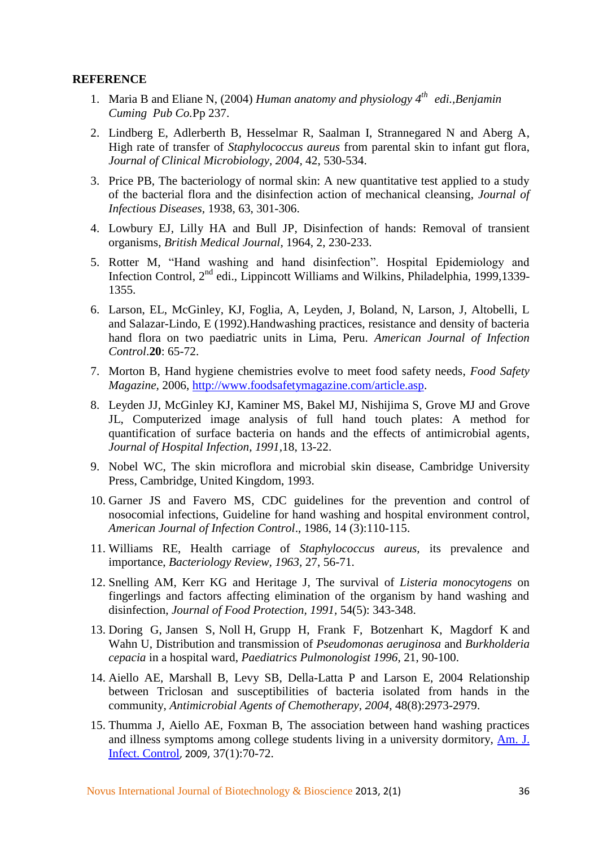#### **REFERENCE**

- 1. Maria B and Eliane N, (2004) *Human anatomy and physiology 4th edi.,Benjamin Cuming Pub Co.*Pp 237.
- 2. Lindberg E, Adlerberth B, Hesselmar R, Saalman I, Strannegared N and Aberg A, High rate of transfer of *Staphylococcus aureus* from parental skin to infant gut flora, *Journal of Clinical Microbiology, 2004,* 42, 530-534.
- 3. Price PB, The bacteriology of normal skin: A new quantitative test applied to a study of the bacterial flora and the disinfection action of mechanical cleansing, *Journal of Infectious Diseases,* 1938, 63, 301-306.
- 4. Lowbury EJ, Lilly HA and Bull JP, Disinfection of hands: Removal of transient organisms, *British Medical Journal*, 1964, 2, 230-233.
- 5. Rotter M, "Hand washing and hand disinfection". Hospital Epidemiology and Infection Control, 2<sup>nd</sup> edi., Lippincott Williams and Wilkins, Philadelphia, 1999,1339-1355.
- 6. Larson, EL, McGinley, KJ, Foglia, A, Leyden, J, Boland, N, Larson, J, Altobelli, L and Salazar-Lindo, E (1992).Handwashing practices, resistance and density of bacteria hand flora on two paediatric units in Lima, Peru. *American Journal of Infection Control*.**20**: 65-72.
- 7. Morton B, Hand hygiene chemistries evolve to meet food safety needs, *Food Safety Magazine,* 2006, [http://www.foodsafetymagazine.com/article.asp.](http://www.foodsafetymagazine.com/article.asp)
- 8. Leyden JJ, McGinley KJ, Kaminer MS, Bakel MJ, Nishijima S, Grove MJ and Grove JL, Computerized image analysis of full hand touch plates: A method for quantification of surface bacteria on hands and the effects of antimicrobial agents, *Journal of Hospital Infection, 1991,*18, 13-22.
- 9. Nobel WC, The skin microflora and microbial skin disease, Cambridge University Press, Cambridge, United Kingdom, 1993.
- 10. Garner JS and Favero MS, CDC guidelines for the prevention and control of nosocomial infections, Guideline for hand washing and hospital environment control, *American Journal of Infection Control*., 1986, 14 (3):110-115.
- 11. Williams RE, Health carriage of *Staphylococcus aureus,* its prevalence and importance, *Bacteriology Review, 1963,* 27, 56-71.
- 12. Snelling AM, Kerr KG and Heritage J, The survival of *Listeria monocytogens* on fingerlings and factors affecting elimination of the organism by hand washing and disinfection, *Journal of Food Protection, 1991,* 54(5): 343-348.
- 13. Doring G, Jansen S, Noll H, Grupp H, Frank F, Botzenhart K, Magdorf K and Wahn U, Distribution and transmission of *Pseudomonas aeruginosa* and *Burkholderia cepacia* in a hospital ward, *Paediatrics Pulmonologist 1996,* 21, 90-100.
- 14. Aiello AE, Marshall B, Levy SB, Della-Latta P and Larson E, 2004 Relationship between Triclosan and susceptibilities of bacteria isolated from hands in the community, *Antimicrobial Agents of Chemotherapy, 2004,* 48(8):2973-2979.
- 15. Thumma J, Aiello AE, Foxman B, The association between hand washing practices and illness symptoms among college students living in a university dormitory, [Am.](http://www.ncbi.nlm.nih.gov/pubmed/18834732) J. Infect. [Control](http://www.ncbi.nlm.nih.gov/pubmed/18834732), 2009, 37(1):70-72.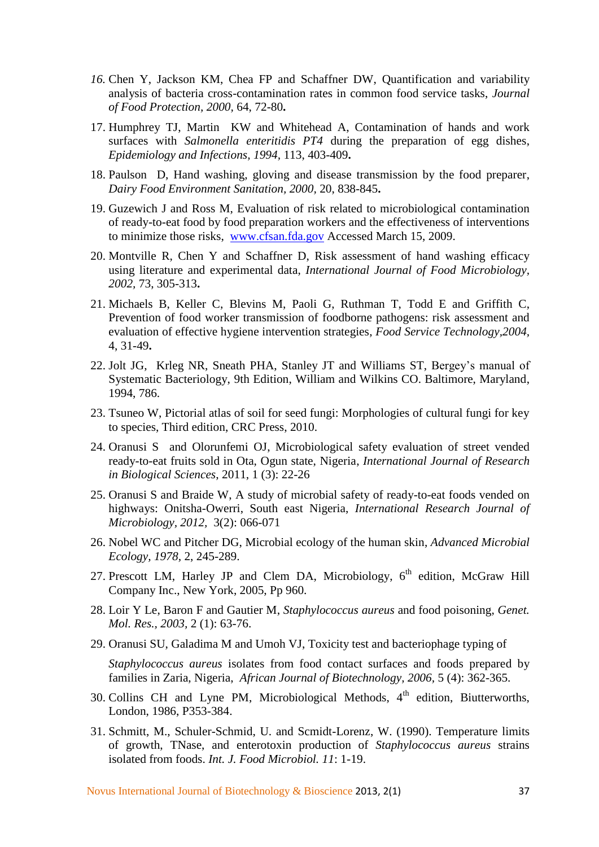- *16.* Chen Y, Jackson KM, Chea FP and Schaffner DW, Quantification and variability analysis of bacteria cross-contamination rates in common food service tasks, *Journal of Food Protection, 2000,* 64, 72-80**.**
- 17. Humphrey TJ, Martin KW and Whitehead A, Contamination of hands and work surfaces with *Salmonella enteritidis PT4* during the preparation of egg dishes, *Epidemiology and Infections, 1994,* 113, 403-409**.**
- 18. Paulson D, Hand washing, gloving and disease transmission by the food preparer, *Dairy Food Environment Sanitation, 2000,* 20, 838-845**.**
- 19. Guzewich J and Ross M, Evaluation of risk related to microbiological contamination of ready-to-eat food by food preparation workers and the effectiveness of interventions to minimize those risks, [www.cfsan.fda.gov](http://www.cfsan.fda.gov/) Accessed March 15, 2009.
- 20. Montville R, Chen Y and Schaffner D, Risk assessment of hand washing efficacy using literature and experimental data, *International Journal of Food Microbiology, 2002,* 73, 305-313**.**
- 21. Michaels B, Keller C, Blevins M, Paoli G, Ruthman T, Todd E and Griffith C, Prevention of food worker transmission of foodborne pathogens: risk assessment and evaluation of effective hygiene intervention strategies, *Food Service Technology,2004,*  4, 31-49**.**
- 22. Jolt JG, Krleg NR, Sneath PHA, Stanley JT and Williams ST, Bergey's manual of Systematic Bacteriology, 9th Edition, William and Wilkins CO. Baltimore, Maryland, 1994, 786.
- 23. Tsuneo W, Pictorial atlas of soil for seed fungi: Morphologies of cultural fungi for key to species, Third edition, CRC Press, 2010.
- 24. Oranusi S and Olorunfemi OJ, Microbiological safety evaluation of street vended ready-to-eat fruits sold in Ota, Ogun state, Nigeria, *International Journal of Research in Biological Sciences*, 2011, 1 (3): 22-26
- 25. Oranusi S and Braide W, A study of microbial safety of ready-to-eat foods vended on highways: Onitsha-Owerri, South east Nigeria, *International Research Journal of Microbiology, 2012,* 3(2): 066-071
- 26. Nobel WC and Pitcher DG, Microbial ecology of the human skin, *Advanced Microbial Ecology, 1978,* 2, 245-289.
- 27. Prescott LM, Harley JP and Clem DA, Microbiology, 6<sup>th</sup> edition, McGraw Hill Company Inc., New York, 2005, Pp 960.
- 28. Loir Y Le, Baron F and Gautier M, *Staphylococcus aureus* and food poisoning, *Genet. Mol. Res., 2003,* 2 (1): 63-76.
- 29. Oranusi SU, Galadima M and Umoh VJ, Toxicity test and bacteriophage typing of

*Staphylococcus aureus* isolates from food contact surfaces and foods prepared by families in Zaria, Nigeria, *African Journal of Biotechnology, 2006,* 5 (4): 362-365.

- 30. Collins CH and Lyne PM, Microbiological Methods, 4<sup>th</sup> edition, Biutterworths, London, 1986, P353-384.
- 31. Schmitt, M., Schuler-Schmid, U. and Scmidt-Lorenz, W. (1990). Temperature limits of growth, TNase, and enterotoxin production of *Staphylococcus aureus* strains isolated from foods. *Int. J. Food Microbiol. 11*: 1-19.